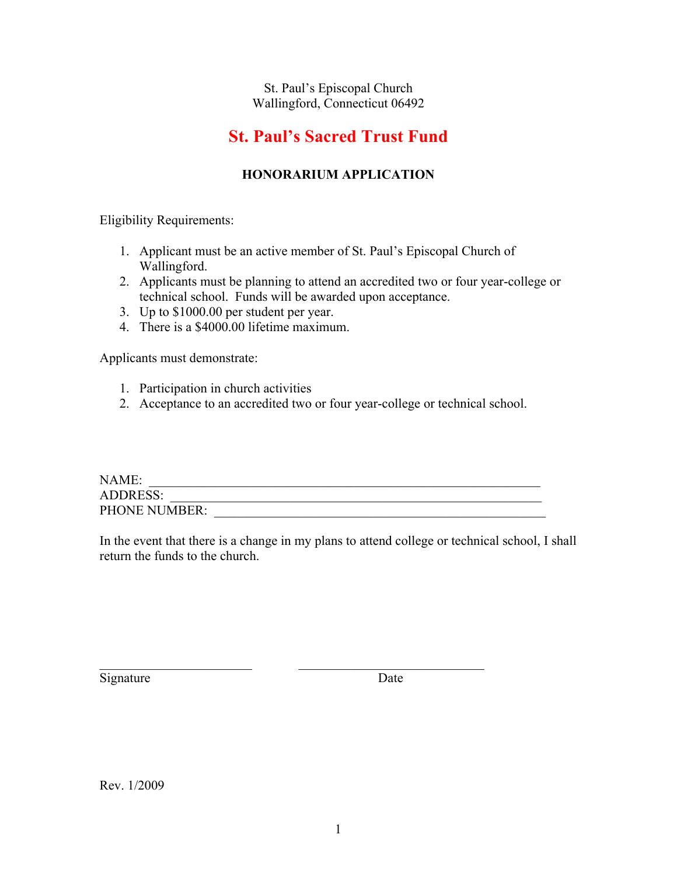#### St. Paul's Episcopal Church Wallingford, Connecticut 06492

## **St. Paul's Sacred Trust Fund**

#### **HONORARIUM APPLICATION**

Eligibility Requirements:

- 1. Applicant must be an active member of St. Paul's Episcopal Church of Wallingford.
- 2. Applicants must be planning to attend an accredited two or four year-college or technical school. Funds will be awarded upon acceptance.
- 3. Up to \$1000.00 per student per year.
- 4. There is a \$4000.00 lifetime maximum.

Applicants must demonstrate:

- 1. Participation in church activities
- 2. Acceptance to an accredited two or four year-college or technical school.

| NAME:                |  |
|----------------------|--|
| <b>ADDRESS:</b>      |  |
| <b>PHONE NUMBER:</b> |  |

 $\_$  , and the set of the set of the set of the set of the set of the set of the set of the set of the set of the set of the set of the set of the set of the set of the set of the set of the set of the set of the set of th

In the event that there is a change in my plans to attend college or technical school, I shall return the funds to the church.

Signature Date

Rev. 1/2009